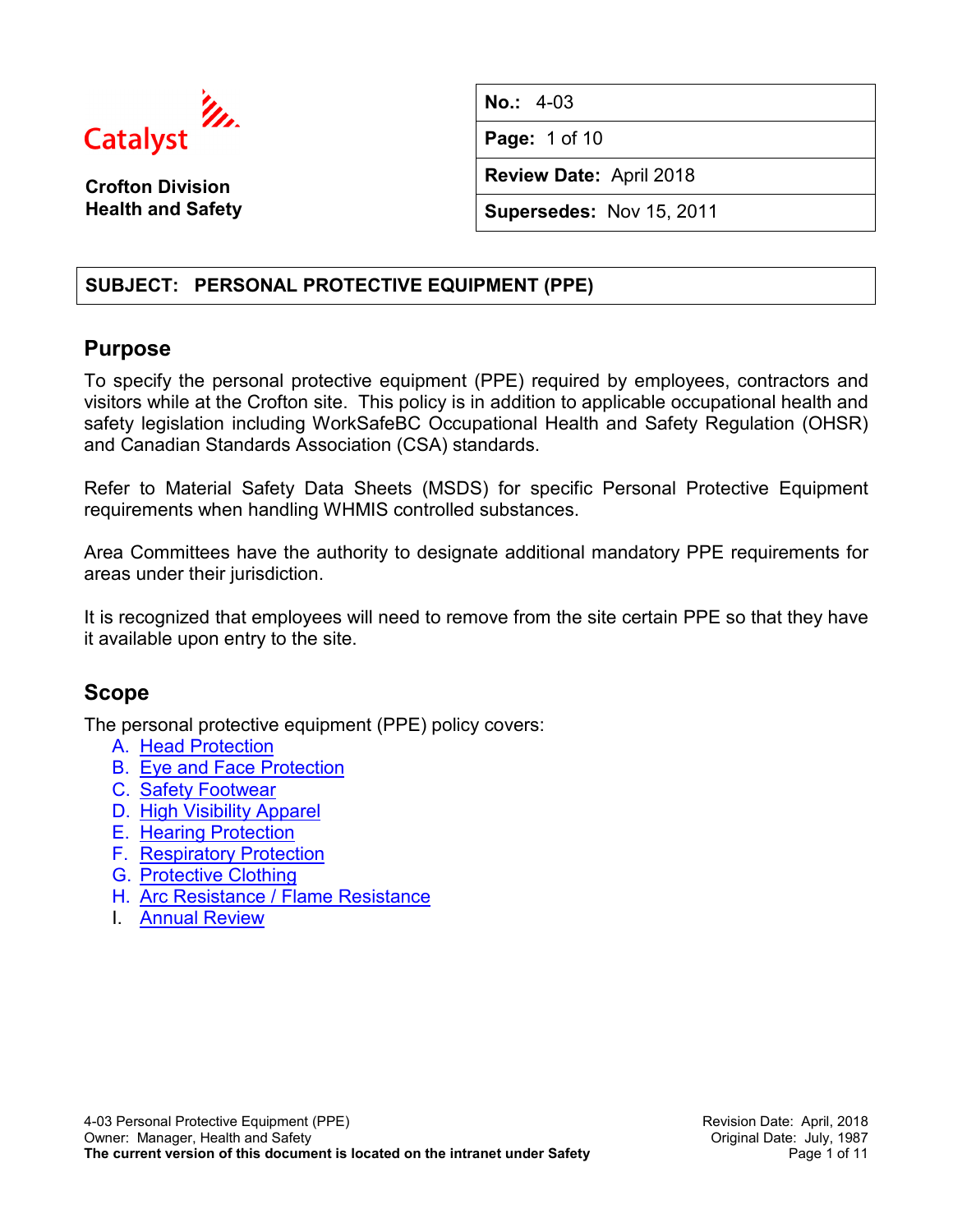

**Crofton Division Health and Safety** **No.:** 4-03

**Page:** 1 of 10

**Review Date:** April 2018

**Supersedes:** Nov 15, 2011

# **SUBJECT: PERSONAL PROTECTIVE EQUIPMENT (PPE)**

# **Purpose**

To specify the personal protective equipment (PPE) required by employees, contractors and visitors while at the Crofton site. This policy is in addition to applicable occupational health and safety legislation including WorkSafeBC Occupational Health and Safety Regulation (OHSR) and Canadian Standards Association (CSA) standards.

Refer to Material Safety Data Sheets (MSDS) for specific Personal Protective Equipment requirements when handling WHMIS controlled substances.

Area Committees have the authority to designate additional mandatory PPE requirements for areas under their jurisdiction.

It is recognized that employees will need to remove from the site certain PPE so that they have it available upon entry to the site.

# **Scope**

The personal protective equipment (PPE) policy covers:

- A. [Head Protection](#page-2-0)
- B. [Eye and Face Protection](#page-3-0)
- C. Safety [Footwear](#page-4-0)
- D. [High Visibility Apparel](#page-5-0)
- E. [Hearing Protection](#page-5-1)
- F. [Respiratory Protection](#page-6-0)
- G. [Protective Clothing](#page-7-0)
- H. [Arc Resistance / Flame Resistance](#page-9-0)
- I. [Annual Review](#page-9-1)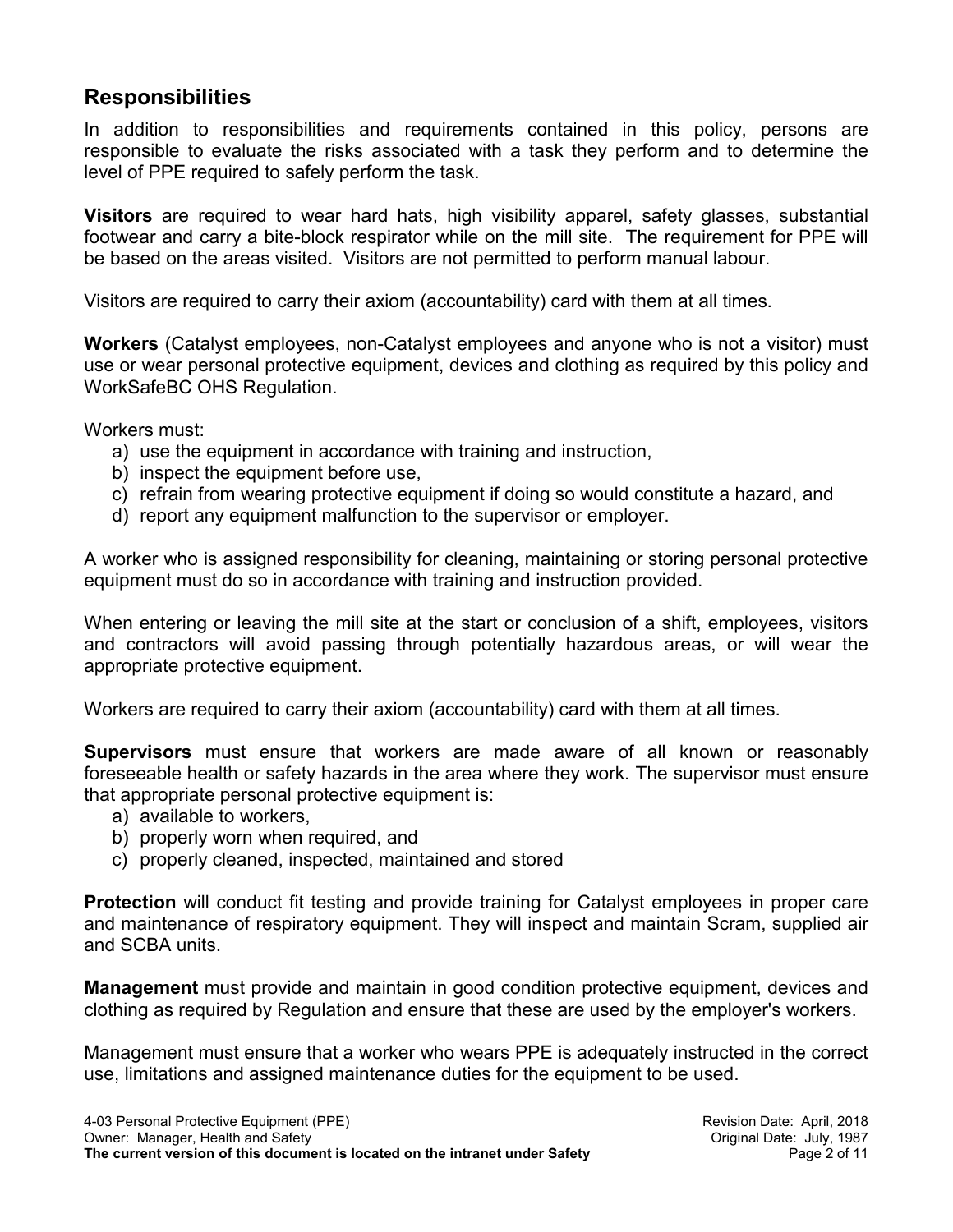# **Responsibilities**

In addition to responsibilities and requirements contained in this policy, persons are responsible to evaluate the risks associated with a task they perform and to determine the level of PPE required to safely perform the task.

**Visitors** are required to wear hard hats, high visibility apparel, safety glasses, substantial footwear and carry a bite-block respirator while on the mill site. The requirement for PPE will be based on the areas visited. Visitors are not permitted to perform manual labour.

Visitors are required to carry their axiom (accountability) card with them at all times.

**Workers** (Catalyst employees, non-Catalyst employees and anyone who is not a visitor) must use or wear personal protective equipment, devices and clothing as required by this policy and WorkSafeBC OHS Regulation.

Workers must:

- a) use the equipment in accordance with training and instruction,
- b) inspect the equipment before use,
- c) refrain from wearing protective equipment if doing so would constitute a hazard, and
- d) report any equipment malfunction to the supervisor or employer.

A worker who is assigned responsibility for cleaning, maintaining or storing personal protective equipment must do so in accordance with training and instruction provided.

When entering or leaving the mill site at the start or conclusion of a shift, employees, visitors and contractors will avoid passing through potentially hazardous areas, or will wear the appropriate protective equipment.

Workers are required to carry their axiom (accountability) card with them at all times.

**Supervisors** must ensure that workers are made aware of all known or reasonably foreseeable health or safety hazards in the area where they work. The supervisor must ensure that appropriate personal protective equipment is:

- a) available to workers,
- b) properly worn when required, and
- c) properly cleaned, inspected, maintained and stored

**Protection** will conduct fit testing and provide training for Catalyst employees in proper care and maintenance of respiratory equipment. They will inspect and maintain Scram, supplied air and SCBA units.

**Management** must provide and maintain in good condition protective equipment, devices and clothing as required by Regulation and ensure that these are used by the employer's workers.

Management must ensure that a worker who wears PPE is adequately instructed in the correct use, limitations and assigned maintenance duties for the equipment to be used.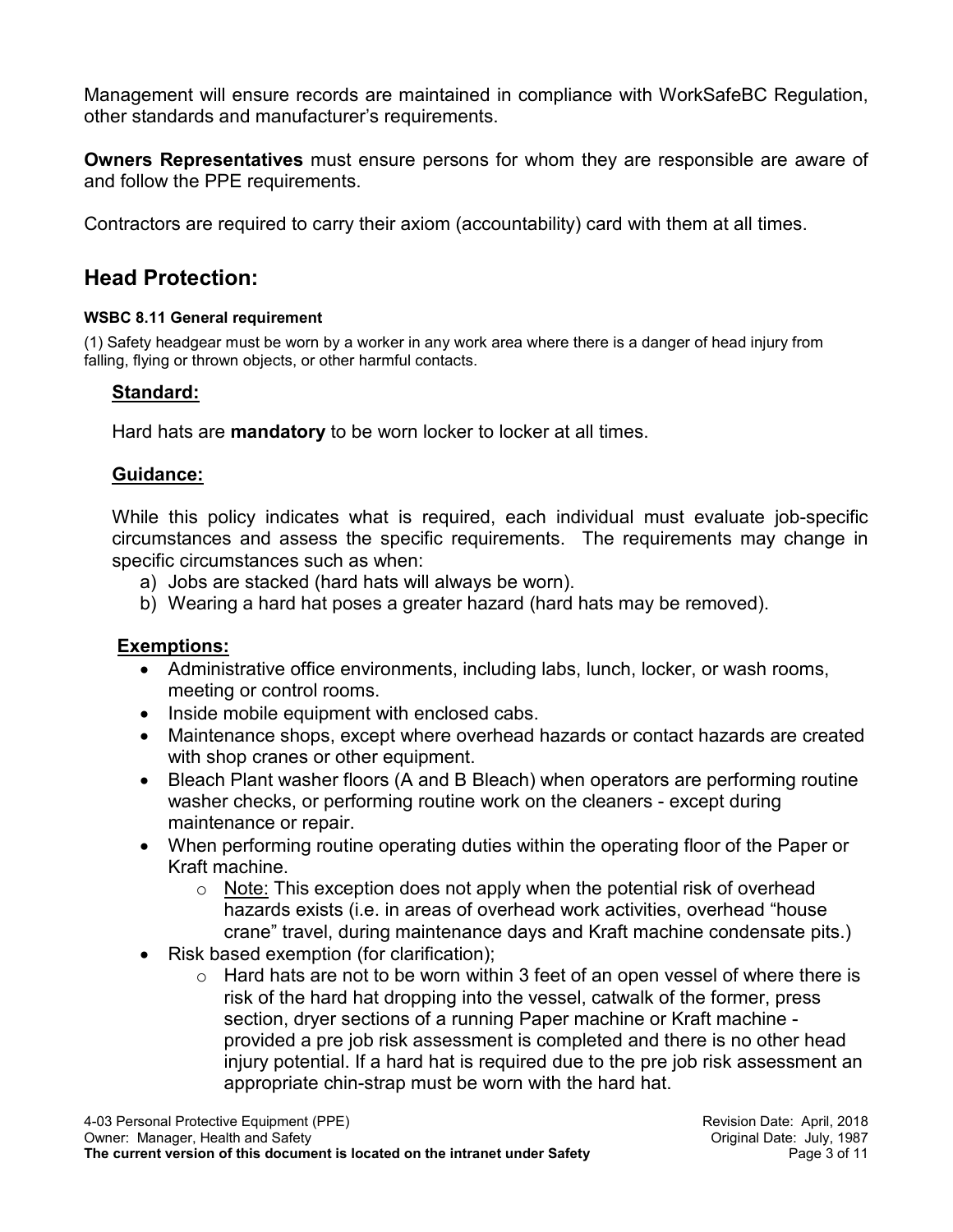Management will ensure records are maintained in compliance with WorkSafeBC Regulation, other standards and manufacturer's requirements.

**Owners Representatives** must ensure persons for whom they are responsible are aware of and follow the PPE requirements.

Contractors are required to carry their axiom (accountability) card with them at all times.

# <span id="page-2-0"></span>**Head Protection:**

### **WSBC 8.11 General requirement**

(1) Safety headgear must be worn by a worker in any work area where there is a danger of head injury from falling, flying or thrown objects, or other harmful contacts.

# **Standard:**

Hard hats are **mandatory** to be worn locker to locker at all times.

# **Guidance:**

While this policy indicates what is required, each individual must evaluate job-specific circumstances and assess the specific requirements. The requirements may change in specific circumstances such as when:

- a) Jobs are stacked (hard hats will always be worn).
- b) Wearing a hard hat poses a greater hazard (hard hats may be removed).

# **Exemptions:**

- Administrative office environments, including labs, lunch, locker, or wash rooms, meeting or control rooms.
- Inside mobile equipment with enclosed cabs.
- Maintenance shops, except where overhead hazards or contact hazards are created with shop cranes or other equipment.
- Bleach Plant washer floors (A and B Bleach) when operators are performing routine washer checks, or performing routine work on the cleaners - except during maintenance or repair.
- When performing routine operating duties within the operating floor of the Paper or Kraft machine.
	- $\circ$  Note: This exception does not apply when the potential risk of overhead hazards exists (i.e. in areas of overhead work activities, overhead "house crane" travel, during maintenance days and Kraft machine condensate pits.)
- Risk based exemption (for clarification);
	- $\circ$  Hard hats are not to be worn within 3 feet of an open vessel of where there is risk of the hard hat dropping into the vessel, catwalk of the former, press section, dryer sections of a running Paper machine or Kraft machine provided a pre job risk assessment is completed and there is no other head injury potential. If a hard hat is required due to the pre job risk assessment an appropriate chin-strap must be worn with the hard hat.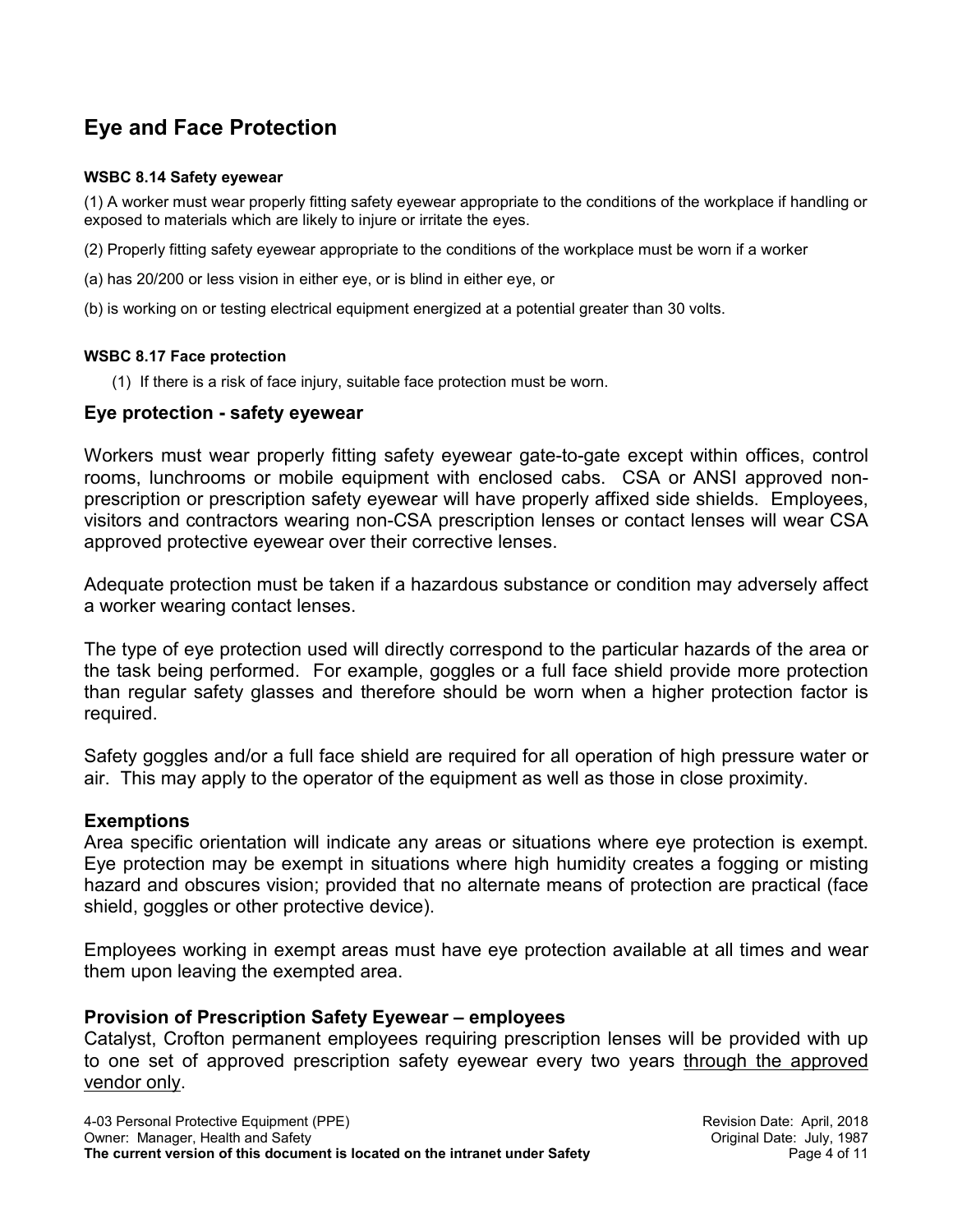# <span id="page-3-0"></span>**Eye and Face Protection**

#### **WSBC 8.14 Safety eyewear**

(1) A worker must wear properly fitting safety eyewear appropriate to the conditions of the workplace if handling or exposed to materials which are likely to injure or irritate the eyes.

(2) Properly fitting safety eyewear appropriate to the conditions of the workplace must be worn if a worker

- (a) has 20/200 or less vision in either eye, or is blind in either eye, or
- (b) is working on or testing electrical equipment energized at a potential greater than 30 volts.

#### **WSBC 8.17 Face protection**

(1) If there is a risk of face injury, suitable face protection must be worn.

### **Eye protection - safety eyewear**

Workers must wear properly fitting safety eyewear gate-to-gate except within offices, control rooms, lunchrooms or mobile equipment with enclosed cabs. CSA or ANSI approved nonprescription or prescription safety eyewear will have properly affixed side shields. Employees, visitors and contractors wearing non-CSA prescription lenses or contact lenses will wear CSA approved protective eyewear over their corrective lenses.

Adequate protection must be taken if a hazardous substance or condition may adversely affect a worker wearing contact lenses.

The type of eye protection used will directly correspond to the particular hazards of the area or the task being performed. For example, goggles or a full face shield provide more protection than regular safety glasses and therefore should be worn when a higher protection factor is required.

Safety goggles and/or a full face shield are required for all operation of high pressure water or air. This may apply to the operator of the equipment as well as those in close proximity.

### **Exemptions**

Area specific orientation will indicate any areas or situations where eye protection is exempt. Eye protection may be exempt in situations where high humidity creates a fogging or misting hazard and obscures vision; provided that no alternate means of protection are practical (face shield, goggles or other protective device).

Employees working in exempt areas must have eye protection available at all times and wear them upon leaving the exempted area.

### **Provision of Prescription Safety Eyewear – employees**

Catalyst, Crofton permanent employees requiring prescription lenses will be provided with up to one set of approved prescription safety eyewear every two years through the approved vendor only.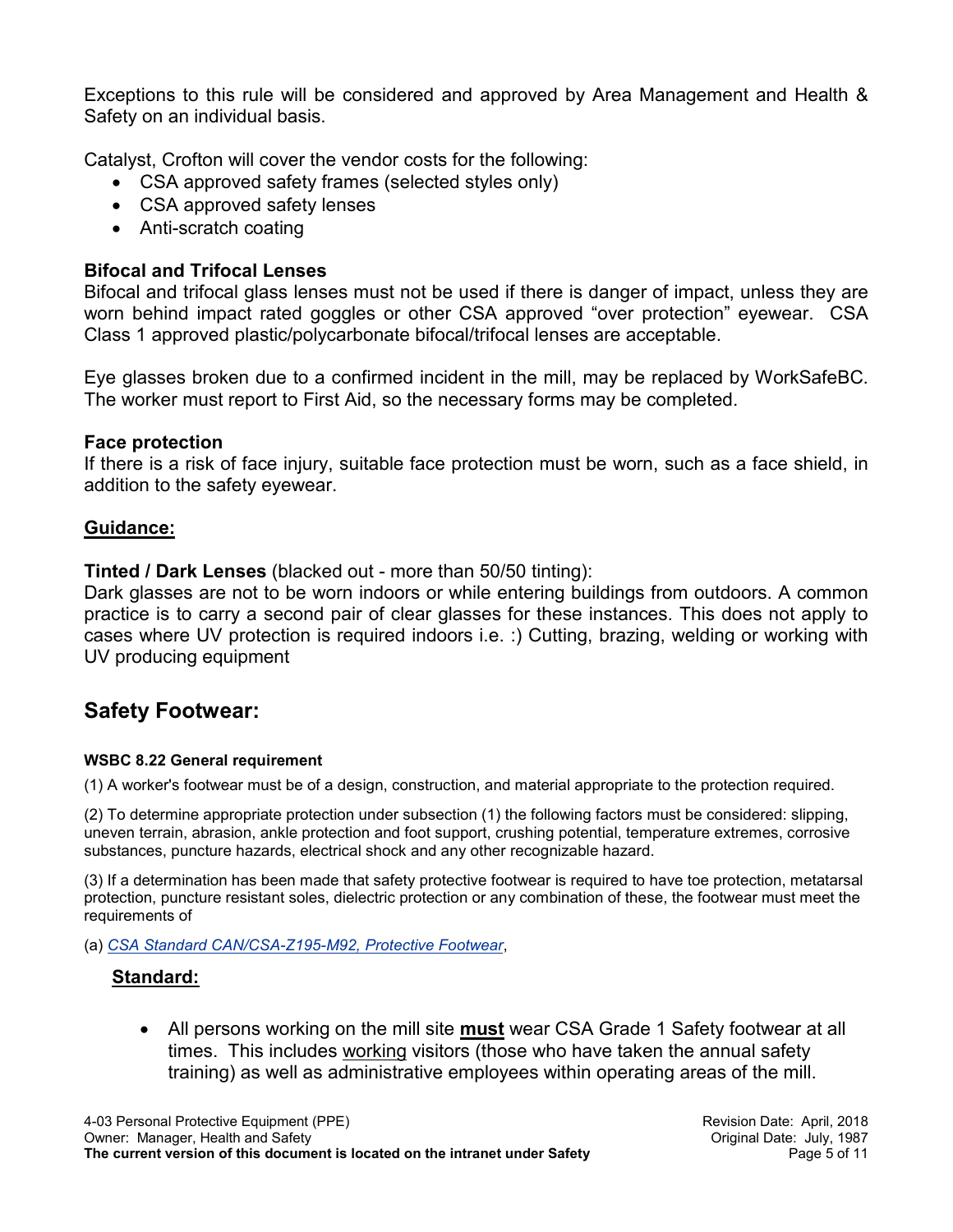Exceptions to this rule will be considered and approved by Area Management and Health & Safety on an individual basis.

Catalyst, Crofton will cover the vendor costs for the following:

- CSA approved safety frames (selected styles only)
- CSA approved safety lenses
- Anti-scratch coating

# **Bifocal and Trifocal Lenses**

Bifocal and trifocal glass lenses must not be used if there is danger of impact, unless they are worn behind impact rated goggles or other CSA approved "over protection" eyewear. CSA Class 1 approved plastic/polycarbonate bifocal/trifocal lenses are acceptable.

Eye glasses broken due to a confirmed incident in the mill, may be replaced by WorkSafeBC. The worker must report to First Aid, so the necessary forms may be completed.

## **Face protection**

If there is a risk of face injury, suitable face protection must be worn, such as a face shield, in addition to the safety eyewear.

## **Guidance:**

**Tinted / Dark Lenses** (blacked out - more than 50/50 tinting):

Dark glasses are not to be worn indoors or while entering buildings from outdoors. A common practice is to carry a second pair of clear glasses for these instances. This does not apply to cases where UV protection is required indoors i.e. :) Cutting, brazing, welding or working with UV producing equipment

# <span id="page-4-0"></span>**Safety Footwear:**

#### **WSBC 8.22 General requirement**

(1) A worker's footwear must be of a design, construction, and material appropriate to the protection required.

(2) To determine appropriate protection under subsection (1) the following factors must be considered: slipping, uneven terrain, abrasion, ankle protection and foot support, crushing potential, temperature extremes, corrosive substances, puncture hazards, electrical shock and any other recognizable hazard.

(3) If a determination has been made that safety protective footwear is required to have toe protection, metatarsal protection, puncture resistant soles, dielectric protection or any combination of these, the footwear must meet the requirements of

#### (a) *CSA Standard CAN/CSA-Z195-M92, Protective Footwear*,

### **Standard:**

• All persons working on the mill site **must** wear CSA Grade 1 Safety footwear at all times. This includes working visitors (those who have taken the annual safety training) as well as administrative employees within operating areas of the mill.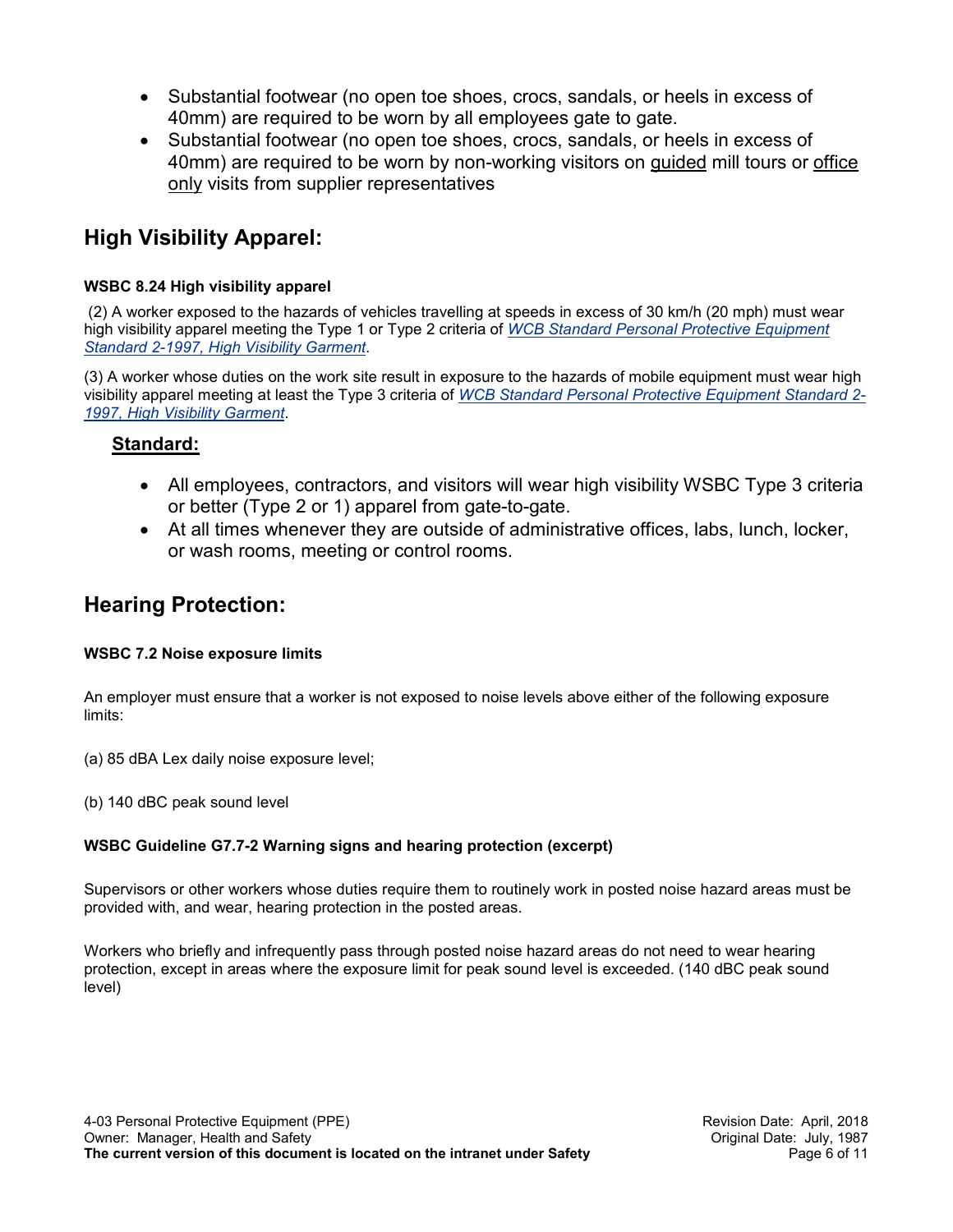- Substantial footwear (no open toe shoes, crocs, sandals, or heels in excess of 40mm) are required to be worn by all employees gate to gate.
- Substantial footwear (no open toe shoes, crocs, sandals, or heels in excess of 40mm) are required to be worn by non-working visitors on guided mill tours or office only visits from supplier representatives

# <span id="page-5-0"></span>**High Visibility Apparel:**

### **WSBC 8.24 High visibility apparel**

(2) A worker exposed to the hazards of vehicles travelling at speeds in excess of 30 km/h (20 mph) must wear high visibility apparel meeting the Type 1 or Type 2 criteria of *WCB Standard Personal Protective Equipment Standard 2-1997, High Visibility Garment*.

(3) A worker whose duties on the work site result in exposure to the hazards of mobile equipment must wear high visibility apparel meeting at least the Type 3 criteria of *WCB Standard Personal Protective Equipment Standard 2- 1997, High Visibility Garment*.

# **Standard:**

- All employees, contractors, and visitors will wear high visibility WSBC Type 3 criteria or better (Type 2 or 1) apparel from gate-to-gate.
- At all times whenever they are outside of administrative offices, labs, lunch, locker, or wash rooms, meeting or control rooms.

# <span id="page-5-1"></span>**Hearing Protection:**

#### **WSBC 7.2 Noise exposure limits**

An employer must ensure that a worker is not exposed to noise levels above either of the following exposure limits:

- (a) 85 dBA Lex daily noise exposure level;
- (b) 140 dBC peak sound level

#### **WSBC Guideline G7.7-2 Warning signs and hearing protection (excerpt)**

Supervisors or other workers whose duties require them to routinely work in posted noise hazard areas must be provided with, and wear, hearing protection in the posted areas.

Workers who briefly and infrequently pass through posted noise hazard areas do not need to wear hearing protection, except in areas where the exposure limit for peak sound level is exceeded. (140 dBC peak sound level)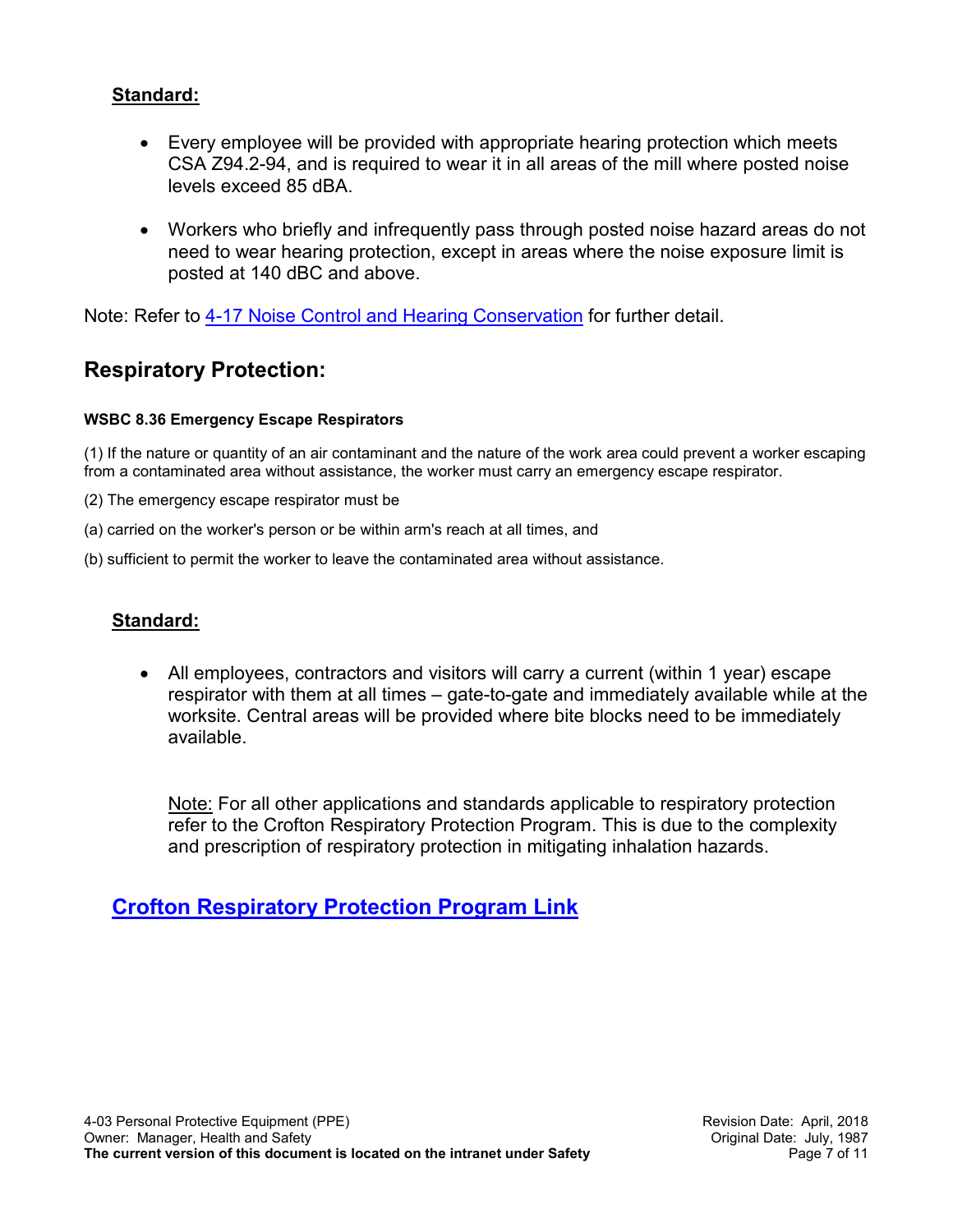## **Standard:**

- Every employee will be provided with appropriate hearing protection which meets CSA Z94.2-94, and is required to wear it in all areas of the mill where posted noise levels exceed 85 dBA.
- Workers who briefly and infrequently pass through posted noise hazard areas do not need to wear hearing protection, except in areas where the noise exposure limit is posted at 140 dBC and above.

Note: Refer to [4-17 Noise Control and Hearing Conservation](http://crosafety/Safety/policiesformspermits/_layouts/WordViewer.aspx?id=/Safety/policiesformspermits/Policies/4-17%20Noise%20Control%20and%20Hearing%20Conservation.doc&Source=http%3A%2F%2Fcrosafety%2FSafety%2Fpoliciesformspermits%2Fdefault%2Easpx&DefaultItemOpen=1) for further detail.

# <span id="page-6-0"></span>**Respiratory Protection:**

#### **WSBC 8.36 Emergency Escape Respirators**

(1) If the nature or quantity of an air contaminant and the nature of the work area could prevent a worker escaping from a contaminated area without assistance, the worker must carry an emergency escape respirator.

- (2) The emergency escape respirator must be
- (a) carried on the worker's person or be within arm's reach at all times, and
- (b) sufficient to permit the worker to leave the contaminated area without assistance.

## **Standard:**

• All employees, contractors and visitors will carry a current (within 1 year) escape respirator with them at all times – gate-to-gate and immediately available while at the worksite. Central areas will be provided where bite blocks need to be immediately available.

Note: For all other applications and standards applicable to respiratory protection refer to the Crofton Respiratory Protection Program. This is due to the complexity and prescription of respiratory protection in mitigating inhalation hazards.

# **[Crofton Respiratory Protection Program Link](http://crosafety/Safety/policiesformspermits/_layouts/WordViewer.aspx?id=/Safety/policiesformspermits/Policies/4.03A%20Respiratory%20Protection%20Program.docx&Source=http%3A%2F%2Fcrosafety%2FSafety%2Fpoliciesformspermits%2FPolicies%2FForms%2FAllItems%2Easpx%3FInitialTabId%3DRibbon%252EDocument%26VisibilityContext%3DWSSTabPersistence%26GroupString%3D%253B%2523Crofton%253B%2523Policy%253B%2523%26IsGroupRender%3DTRUE&DefaultItemOpen=1)**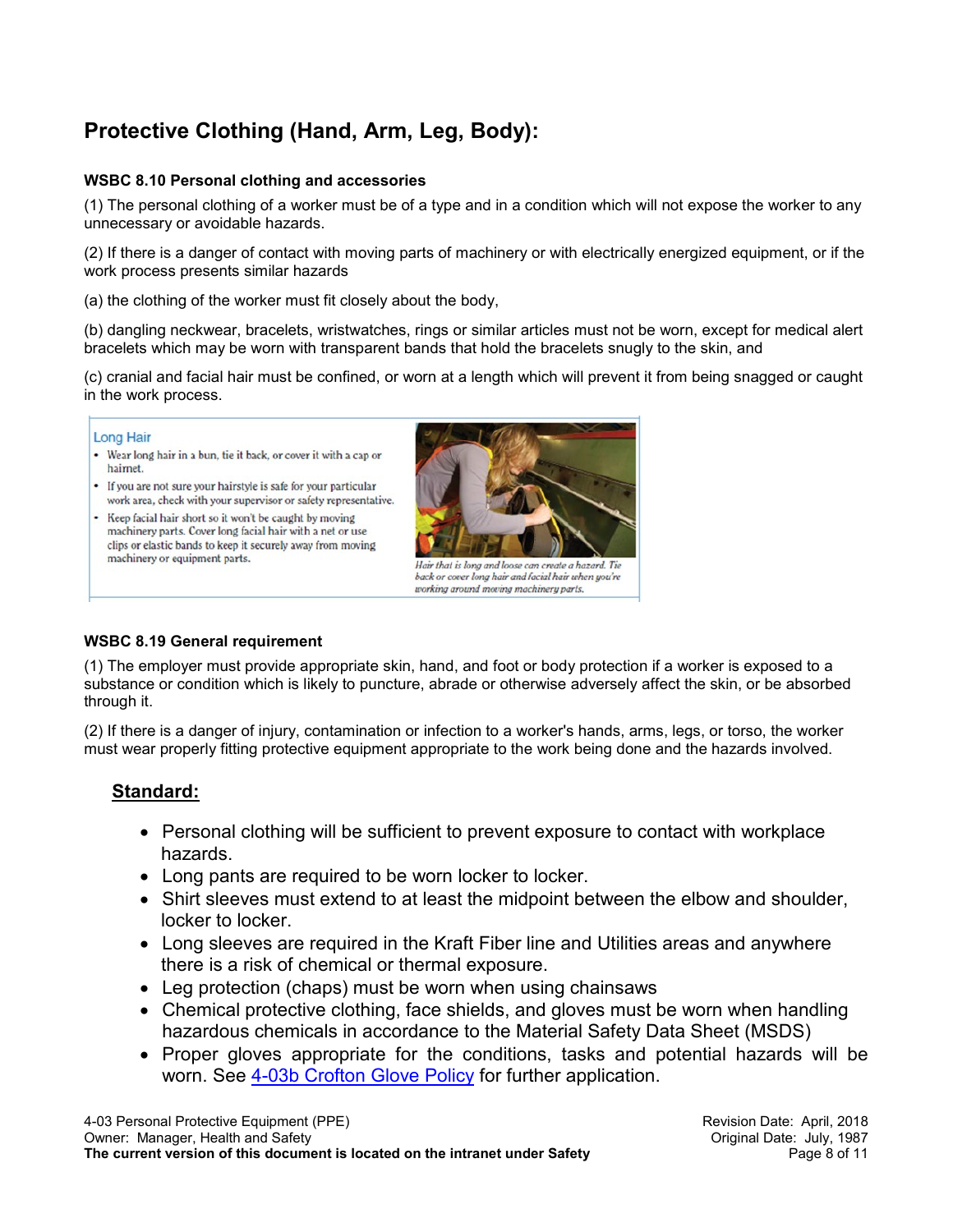# <span id="page-7-0"></span>**Protective Clothing (Hand, Arm, Leg, Body):**

#### **WSBC 8.10 Personal clothing and accessories**

(1) The personal clothing of a worker must be of a type and in a condition which will not expose the worker to any unnecessary or avoidable hazards.

(2) If there is a danger of contact with moving parts of machinery or with electrically energized equipment, or if the work process presents similar hazards

(a) the clothing of the worker must fit closely about the body,

(b) dangling neckwear, bracelets, wristwatches, rings or similar articles must not be worn, except for medical alert bracelets which may be worn with transparent bands that hold the bracelets snugly to the skin, and

(c) cranial and facial hair must be confined, or worn at a length which will prevent it from being snagged or caught in the work process.

#### **Long Hair**

- Wear long hair in a bun, tie it back, or cover it with a cap or hairnet.
- If you are not sure your hairstyle is safe for your particular work area, check with your supervisor or safety representative.
- Keep facial hair short so it won't be caught by moving machinery parts. Cover long facial hair with a net or use clips or elastic bands to keep it securely away from moving machinery or equipment parts.



Hair that is long and loose can create a hazard. Tie back or cover long hair and facial hair when you're working around moving machinery parts.

#### **WSBC 8.19 General requirement**

(1) The employer must provide appropriate skin, hand, and foot or body protection if a worker is exposed to a substance or condition which is likely to puncture, abrade or otherwise adversely affect the skin, or be absorbed through it.

(2) If there is a danger of injury, contamination or infection to a worker's hands, arms, legs, or torso, the worker must wear properly fitting protective equipment appropriate to the work being done and the hazards involved.

# **Standard:**

- Personal clothing will be sufficient to prevent exposure to contact with workplace hazards.
- Long pants are required to be worn locker to locker.
- Shirt sleeves must extend to at least the midpoint between the elbow and shoulder, locker to locker.
- Long sleeves are required in the Kraft Fiber line and Utilities areas and anywhere there is a risk of chemical or thermal exposure.
- Leg protection (chaps) must be worn when using chainsaws
- Chemical protective clothing, face shields, and gloves must be worn when handling hazardous chemicals in accordance to the Material Safety Data Sheet (MSDS)
- Proper gloves appropriate for the conditions, tasks and potential hazards will be worn. See [4-03b Crofton Glove Policy](http://crosafety/Safety/policiesformspermits/_layouts/WordViewer.aspx?id=/Safety/policiesformspermits/Policies/4.03b%20Crofton%20Glove%20Policy.doc&Source=http%3A%2F%2Fcrosafety%2FSafety%2Fpoliciesformspermits%2Fdefault%2Easpx&DefaultItemOpen=1) for further application.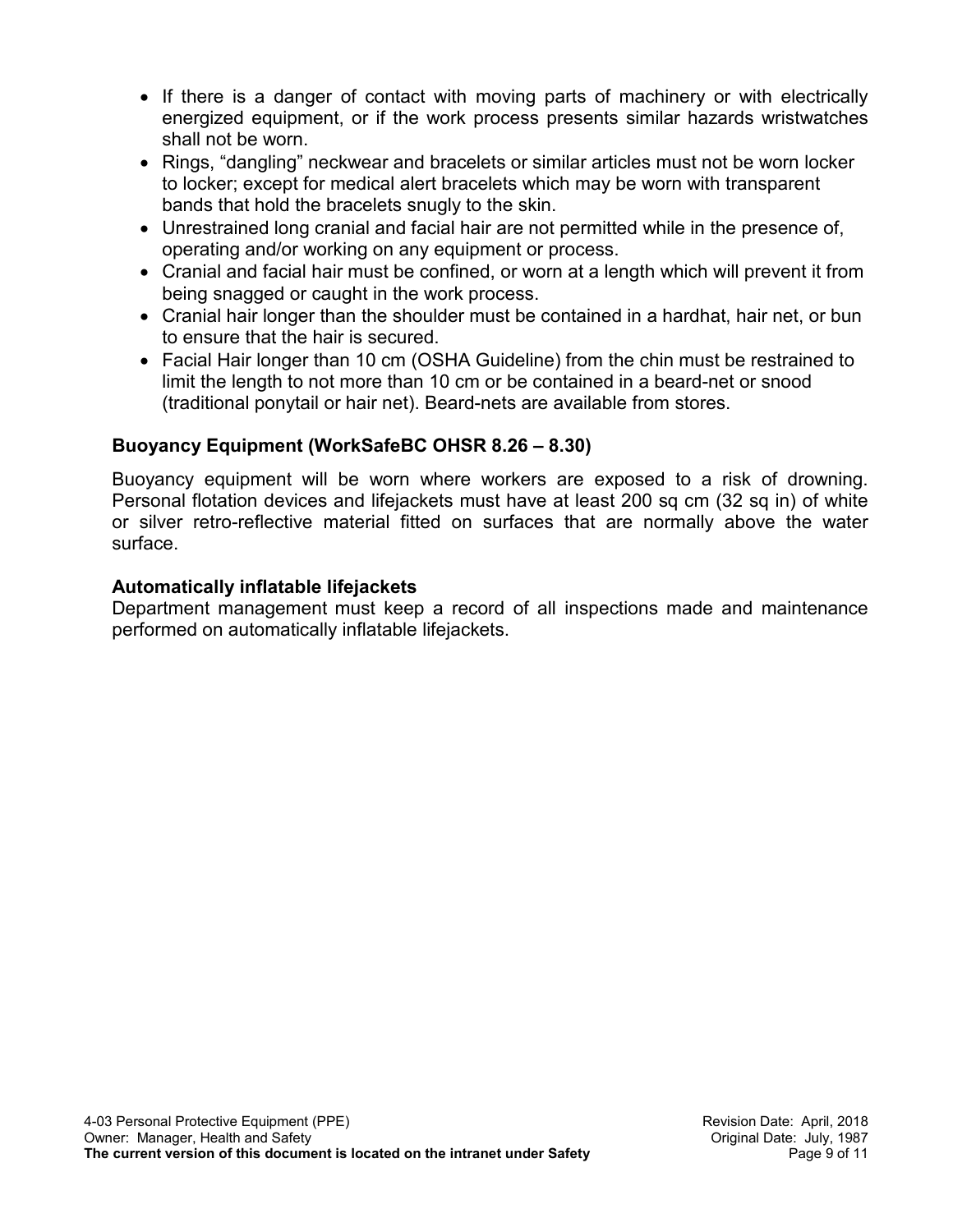- If there is a danger of contact with moving parts of machinery or with electrically energized equipment, or if the work process presents similar hazards wristwatches shall not be worn.
- Rings, "dangling" neckwear and bracelets or similar articles must not be worn locker to locker; except for medical alert bracelets which may be worn with transparent bands that hold the bracelets snugly to the skin.
- Unrestrained long cranial and facial hair are not permitted while in the presence of, operating and/or working on any equipment or process.
- Cranial and facial hair must be confined, or worn at a length which will prevent it from being snagged or caught in the work process.
- Cranial hair longer than the shoulder must be contained in a hardhat, hair net, or bun to ensure that the hair is secured.
- Facial Hair longer than 10 cm (OSHA Guideline) from the chin must be restrained to limit the length to not more than 10 cm or be contained in a beard-net or snood (traditional ponytail or hair net). Beard-nets are available from stores.

# **Buoyancy Equipment (WorkSafeBC OHSR 8.26 – 8.30)**

Buoyancy equipment will be worn where workers are exposed to a risk of drowning. Personal flotation devices and lifejackets must have at least 200 sq cm (32 sq in) of white or silver retro-reflective material fitted on surfaces that are normally above the water surface.

## **Automatically inflatable lifejackets**

Department management must keep a record of all inspections made and maintenance performed on automatically inflatable lifejackets.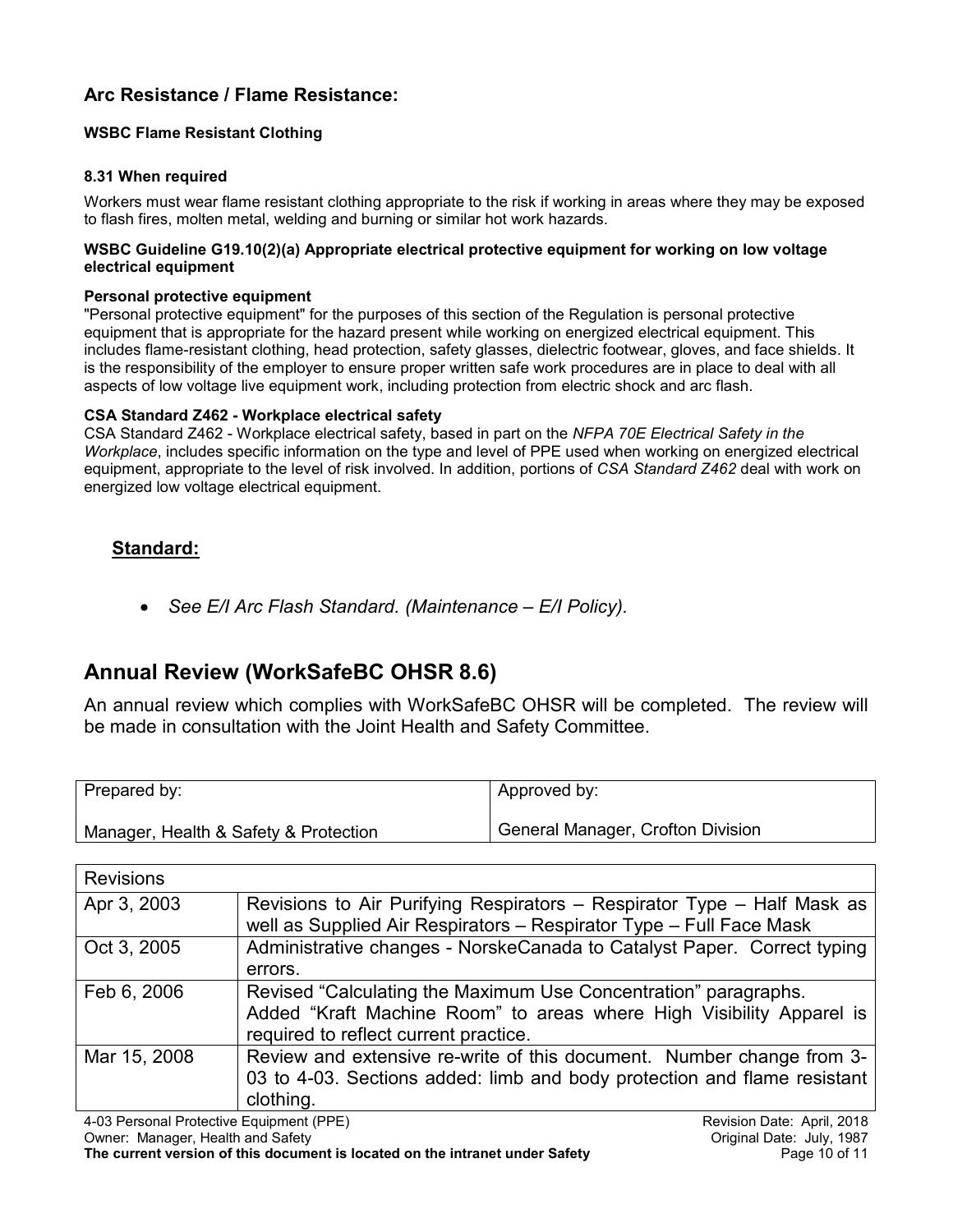# <span id="page-9-0"></span>**Arc Resistance / Flame Resistance:**

#### **WSBC Flame Resistant Clothing**

#### **8.31 When required**

Workers must wear flame resistant clothing appropriate to the risk if working in areas where they may be exposed to flash fires, molten metal, welding and burning or similar hot work hazards.

#### **WSBC Guideline G19.10(2)(a) Appropriate electrical protective equipment for working on low voltage electrical equipment**

#### **Personal protective equipment**

"Personal protective equipment" for the purposes of this section of the Regulation is personal protective equipment that is appropriate for the hazard present while working on energized electrical equipment. This includes flame-resistant clothing, head protection, safety glasses, dielectric footwear, gloves, and face shields. It is the responsibility of the employer to ensure proper written safe work procedures are in place to deal with all aspects of low voltage live equipment work, including protection from electric shock and arc flash.

#### **CSA Standard Z462 - Workplace electrical safety**

CSA Standard Z462 - Workplace electrical safety, based in part on the *NFPA 70E Electrical Safety in the Workplace*, includes specific information on the type and level of PPE used when working on energized electrical equipment, appropriate to the level of risk involved. In addition, portions of *CSA Standard Z462* deal with work on energized low voltage electrical equipment.

### **Standard:**

• *See E/I Arc Flash Standard. (Maintenance – E/I Policy).*

# <span id="page-9-1"></span>**Annual Review (WorkSafeBC OHSR 8.6)**

An annual review which complies with WorkSafeBC OHSR will be completed. The review will be made in consultation with the Joint Health and Safety Committee.

| Prepared by:                          | Approved by:                      |
|---------------------------------------|-----------------------------------|
| Manager, Health & Safety & Protection | General Manager, Crofton Division |

| <b>Revisions</b>        |                                                                                                                                                                                  |
|-------------------------|----------------------------------------------------------------------------------------------------------------------------------------------------------------------------------|
| Apr 3, 2003             | Revisions to Air Purifying Respirators - Respirator Type - Half Mask as<br>well as Supplied Air Respirators - Respirator Type - Full Face Mask                                   |
| Oct 3, 2005             | Administrative changes - NorskeCanada to Catalyst Paper. Correct typing<br>errors.                                                                                               |
| Feb 6, 2006             | Revised "Calculating the Maximum Use Concentration" paragraphs.<br>Added "Kraft Machine Room" to areas where High Visibility Apparel is<br>required to reflect current practice. |
| Mar 15, 2008            | Review and extensive re-write of this document. Number change from 3-<br>03 to 4-03. Sections added: limb and body protection and flame resistant<br>clothing.                   |
| 100 D I D I L D I LODE\ |                                                                                                                                                                                  |